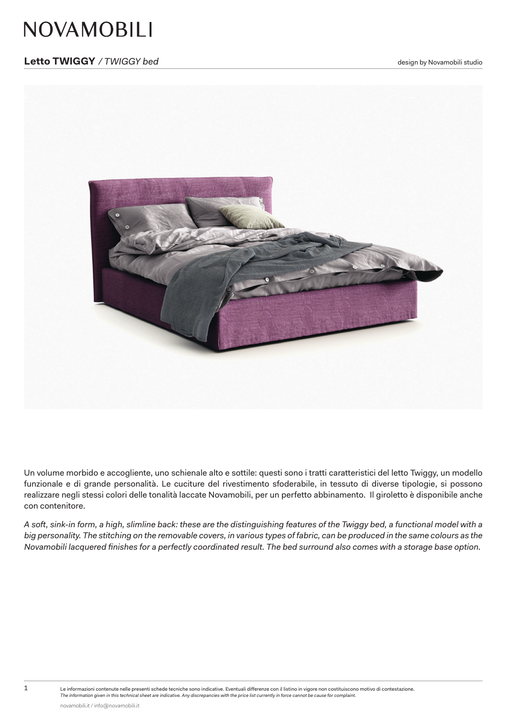# **NOVAMOBILI**

### **Letto TWIGGY** / TWIGGY bed and the studio of the studio of the studio of the studio of the studio of the studio



Un volume morbido e accogliente, uno schienale alto e sottile: questi sono i tratti caratteristici del letto Twiggy, un modello funzionale e di grande personalità. Le cuciture del rivestimento sfoderabile, in tessuto di diverse tipologie, si possono realizzare negli stessi colori delle tonalità laccate Novamobili, per un perfetto abbinamento. Il giroletto è disponibile anche con contenitore.

*A soft, sink-in form, a high, slimline back: these are the distinguishing features of the Twiggy bed, a functional model with a big personality. The stitching on the removable covers, in various types of fabric, can be produced in the same colours as the Novamobili lacquered finishes for a perfectly coordinated result. The bed surround also comes with a storage base option.* 

1 Le informazioni contenute nelle presenti schede tecniche sono indicative. Eventuali differenze con il listino in vigore non costituiscono motivo di contestazione.

*The information given in this technical sheet are indicative. Any discrepancies with the price list currently in force cannot be cause for complaint.*

novamobili.it / info@novamobili.it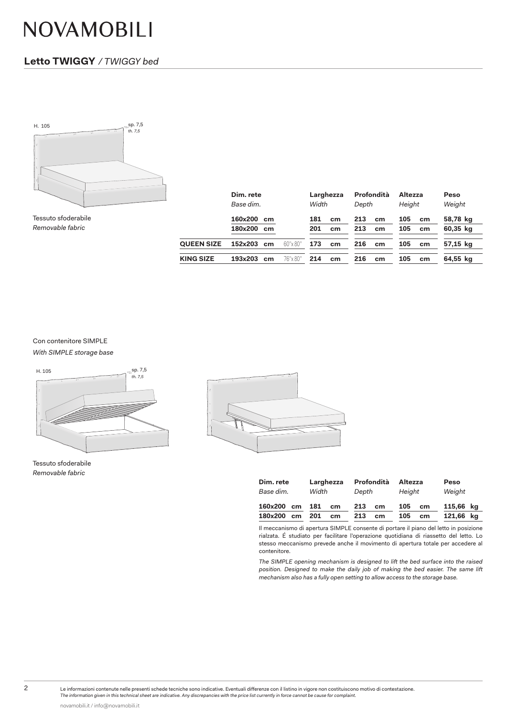# NOVAMOBILI

### **Letto TWIGGY** */ TWIGGY bed*



Tessuto sfoderabile *Removable fabric*

|                   | Dim. rete<br>Base dim. |          | Larghezza<br>Width<br>Depth |                 | Profondità<br>Altezza<br>Height |    |     | <b>Peso</b><br>Weight |          |
|-------------------|------------------------|----------|-----------------------------|-----------------|---------------------------------|----|-----|-----------------------|----------|
|                   | 160x200<br>cm          |          | 181                         | cm <sub>2</sub> | 213                             | cm | 105 | cm                    | 58,78 kg |
|                   | 180x200<br>cm          |          | 201                         | cm              | 213                             | cm | 105 | cm                    | 60,35 kg |
| <b>QUEEN SIZE</b> | 152x203<br>cm          | 60"x 80" | 173                         | cm              | 216                             | cm | 105 | cm                    | 57,15 kg |
| <b>KING SIZE</b>  | 193x203<br>cm          | 76"x 80" | 214                         | cm              | 216                             | cm | 105 | cm                    | 64,55 kg |

#### Con contenitore SIMPLE

*With SIMPLE storage base*



Tessuto sfoderabile *Removable fabric*



| Dim. rete | Larghezza | Profondità | Altezza | Peso      |
|-----------|-----------|------------|---------|-----------|
| Base dim. | Width     | Depth      | Height  | Weight    |
| 160x200   | 181       | 213        | 105     | 115,66 kg |
| cm        | cm        | cm         | cm      |           |
| 180x200   | 201       | 213        | 105     | 121,66 kg |
| cm        | cm        | cm         | cm      |           |

Il meccanismo di apertura SIMPLE consente di portare il piano del letto in posizione rialzata. É studiato per facilitare l'operazione quotidiana di riassetto del letto. Lo stesso meccanismo prevede anche il movimento di apertura totale per accedere al contenitore.

*The SIMPLE opening mechanism is designed to lift the bed surface into the raised position. Designed to make the daily job of making the bed easier. The same lift mechanism also has a fully open setting to allow access to the storage base.*

2 Le informazioni contenute nelle presenti schede tecniche sono indicative. Eventuali differenze con il listino in vigore non costituiscono motivo di contestazione.

*The information given in this technical sheet are indicative. Any discrepancies with the price list currently in force cannot be cause for complaint.*

novamobili.it / info@novamobili.it